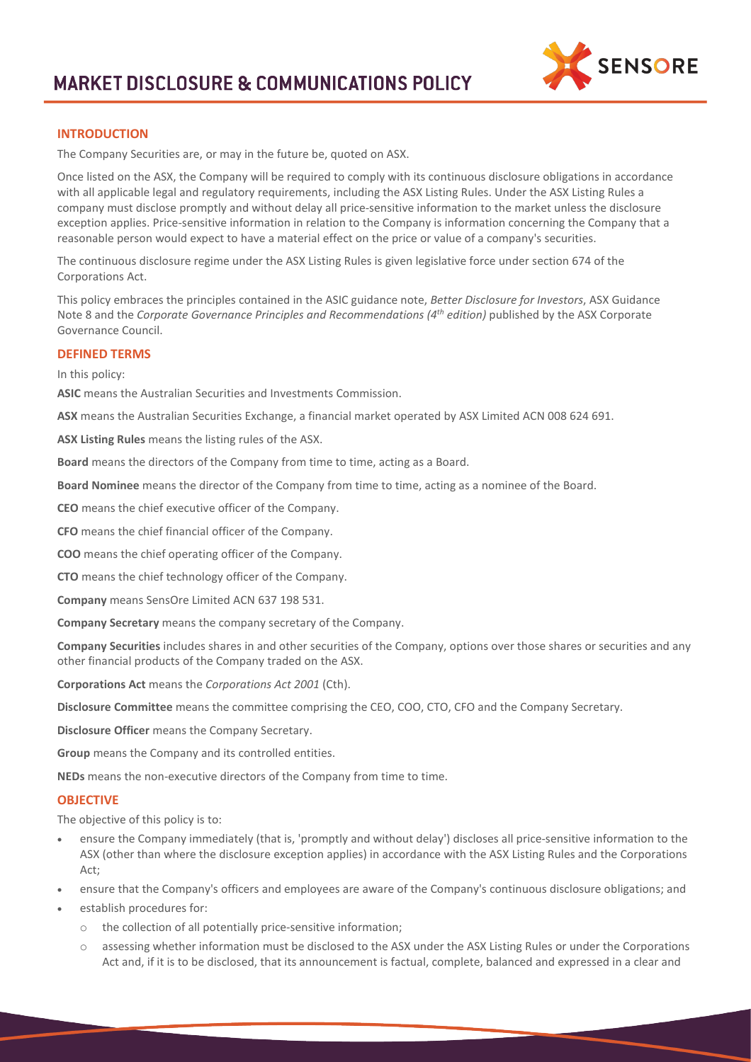

# **INTRODUCTION**

The Company Securities are, or may in the future be, quoted on ASX.

Once listed on the ASX, the Company will be required to comply with its continuous disclosure obligations in accordance with all applicable legal and regulatory requirements, including the ASX Listing Rules. Under the ASX Listing Rules a company must disclose promptly and without delay all price-sensitive information to the market unless the disclosure exception applies. Price-sensitive information in relation to the Company is information concerning the Company that a reasonable person would expect to have a material effect on the price or value of a company's securities.

The continuous disclosure regime under the ASX Listing Rules is given legislative force under section 674 of the Corporations Act.

This policy embraces the principles contained in the ASIC guidance note, *Better Disclosure for Investors*, ASX Guidance Note 8 and the *Corporate Governance Principles and Recommendations (4th edition)* published by the ASX Corporate Governance Council.

## **DEFINED TERMS**

In this policy:

**ASIC** means the Australian Securities and Investments Commission.

**ASX** means the Australian Securities Exchange, a financial market operated by ASX Limited ACN 008 624 691.

**ASX Listing Rules** means the listing rules of the ASX.

**Board** means the directors of the Company from time to time, acting as a Board.

**Board Nominee** means the director of the Company from time to time, acting as a nominee of the Board.

**CEO** means the chief executive officer of the Company.

**CFO** means the chief financial officer of the Company.

**COO** means the chief operating officer of the Company.

**CTO** means the chief technology officer of the Company.

**Company** means SensOre Limited ACN 637 198 531.

**Company Secretary** means the company secretary of the Company.

**Company Securities** includes shares in and other securities of the Company, options over those shares or securities and any other financial products of the Company traded on the ASX.

**Corporations Act** means the *Corporations Act 2001* (Cth).

**Disclosure Committee** means the committee comprising the CEO, COO, CTO, CFO and the Company Secretary.

**Disclosure Officer** means the Company Secretary.

**Group** means the Company and its controlled entities.

**NEDs** means the non-executive directors of the Company from time to time.

#### **OBJECTIVE**

The objective of this policy is to:

- ensure the Company immediately (that is, 'promptly and without delay') discloses all price-sensitive information to the ASX (other than where the disclosure exception applies) in accordance with the ASX Listing Rules and the Corporations Act;
- ensure that the Company's officers and employees are aware of the Company's continuous disclosure obligations; and
- establish procedures for:
	- o the collection of all potentially price-sensitive information;
	- o assessing whether information must be disclosed to the ASX under the ASX Listing Rules or under the Corporations Act and, if it is to be disclosed, that its announcement is factual, complete, balanced and expressed in a clear and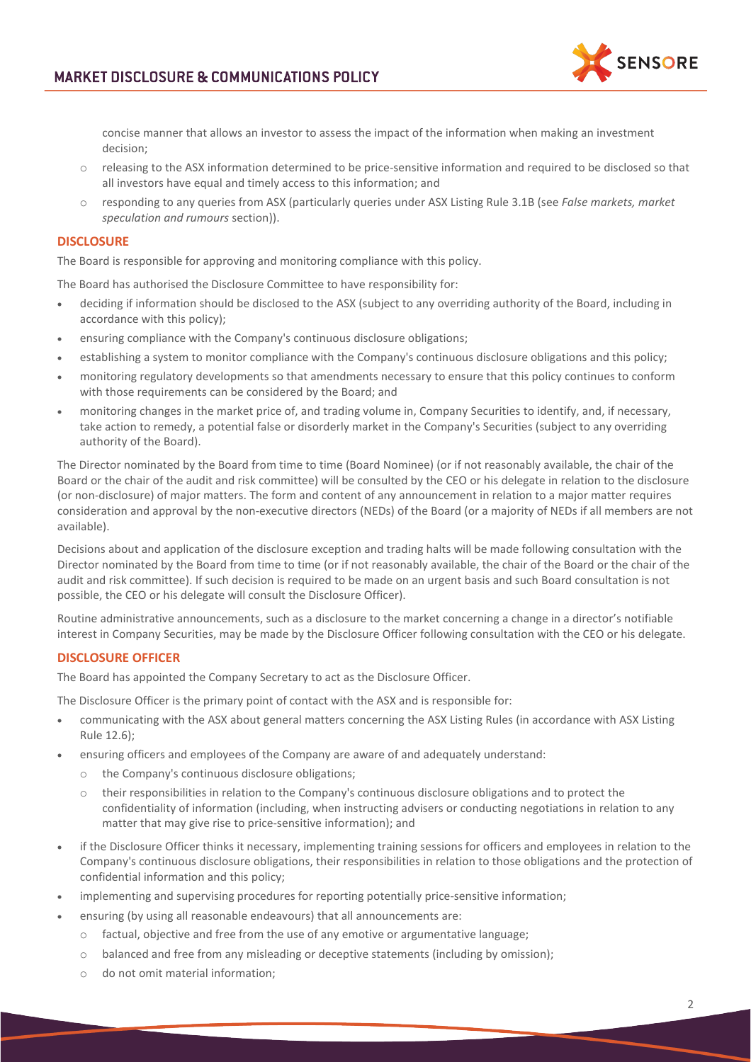

concise manner that allows an investor to assess the impact of the information when making an investment decision;

- o releasing to the ASX information determined to be price-sensitive information and required to be disclosed so that all investors have equal and timely access to this information; and
- o responding to any queries from ASX (particularly queries under ASX Listing Rule 3.1B (see *False markets, market speculation and rumours* section)).

# **DISCLOSURE**

The Board is responsible for approving and monitoring compliance with this policy.

The Board has authorised the Disclosure Committee to have responsibility for:

- deciding if information should be disclosed to the ASX (subject to any overriding authority of the Board, including in accordance with this policy);
- ensuring compliance with the Company's continuous disclosure obligations;
- establishing a system to monitor compliance with the Company's continuous disclosure obligations and this policy;
- monitoring regulatory developments so that amendments necessary to ensure that this policy continues to conform with those requirements can be considered by the Board; and
- monitoring changes in the market price of, and trading volume in, Company Securities to identify, and, if necessary, take action to remedy, a potential false or disorderly market in the Company's Securities (subject to any overriding authority of the Board).

The Director nominated by the Board from time to time (Board Nominee) (or if not reasonably available, the chair of the Board or the chair of the audit and risk committee) will be consulted by the CEO or his delegate in relation to the disclosure (or non-disclosure) of major matters. The form and content of any announcement in relation to a major matter requires consideration and approval by the non-executive directors (NEDs) of the Board (or a majority of NEDs if all members are not available).

Decisions about and application of the disclosure exception and trading halts will be made following consultation with the Director nominated by the Board from time to time (or if not reasonably available, the chair of the Board or the chair of the audit and risk committee). If such decision is required to be made on an urgent basis and such Board consultation is not possible, the CEO or his delegate will consult the Disclosure Officer).

Routine administrative announcements, such as a disclosure to the market concerning a change in a director's notifiable interest in Company Securities, may be made by the Disclosure Officer following consultation with the CEO or his delegate.

## **DISCLOSURE OFFICER**

The Board has appointed the Company Secretary to act as the Disclosure Officer.

The Disclosure Officer is the primary point of contact with the ASX and is responsible for:

- communicating with the ASX about general matters concerning the ASX Listing Rules (in accordance with ASX Listing Rule 12.6);
- ensuring officers and employees of the Company are aware of and adequately understand:
	- o the Company's continuous disclosure obligations;
	- o their responsibilities in relation to the Company's continuous disclosure obligations and to protect the confidentiality of information (including, when instructing advisers or conducting negotiations in relation to any matter that may give rise to price-sensitive information); and
- if the Disclosure Officer thinks it necessary, implementing training sessions for officers and employees in relation to the Company's continuous disclosure obligations, their responsibilities in relation to those obligations and the protection of confidential information and this policy;
- implementing and supervising procedures for reporting potentially price-sensitive information;
- ensuring (by using all reasonable endeavours) that all announcements are:
	- o factual, objective and free from the use of any emotive or argumentative language;
	- o balanced and free from any misleading or deceptive statements (including by omission);
	- o do not omit material information;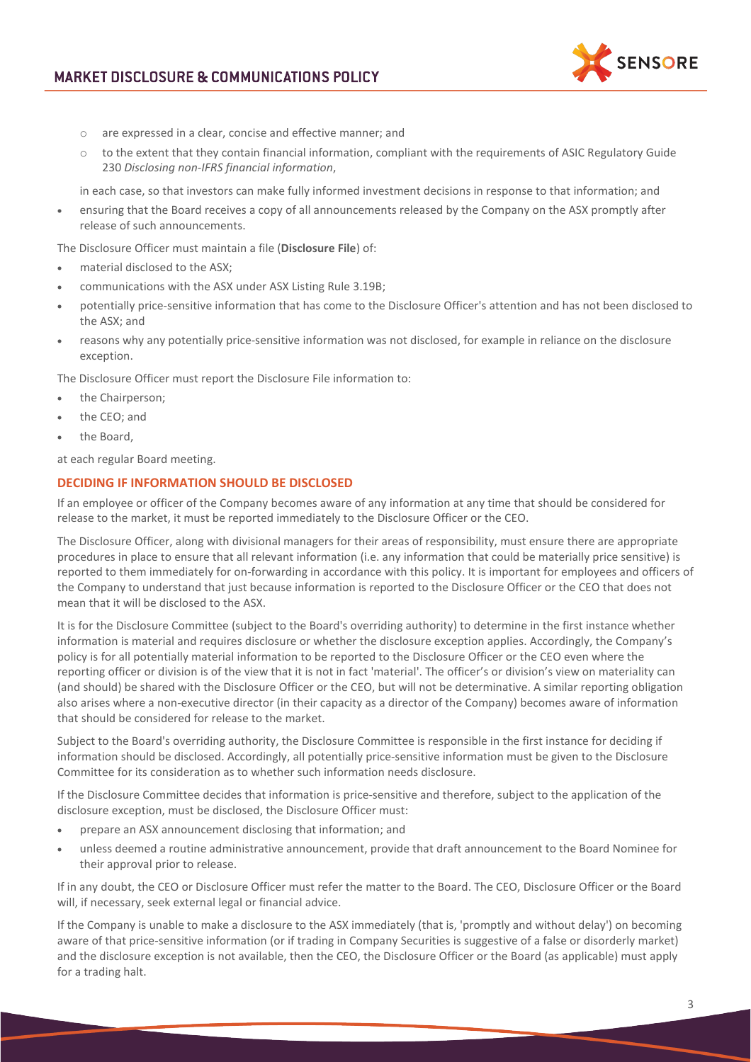

- o are expressed in a clear, concise and effective manner; and
- $\circ$  to the extent that they contain financial information, compliant with the requirements of ASIC Regulatory Guide 230 *Disclosing non-IFRS financial information*,

in each case, so that investors can make fully informed investment decisions in response to that information; and

• ensuring that the Board receives a copy of all announcements released by the Company on the ASX promptly after release of such announcements.

The Disclosure Officer must maintain a file (**Disclosure File**) of:

- material disclosed to the ASX;
- communications with the ASX under ASX Listing Rule 3.19B;
- potentially price-sensitive information that has come to the Disclosure Officer's attention and has not been disclosed to the ASX; and
- reasons why any potentially price-sensitive information was not disclosed, for example in reliance on the disclosure exception.

The Disclosure Officer must report the Disclosure File information to:

- the Chairperson;
- the CEO; and
- the Board,

at each regular Board meeting.

## **DECIDING IF INFORMATION SHOULD BE DISCLOSED**

If an employee or officer of the Company becomes aware of any information at any time that should be considered for release to the market, it must be reported immediately to the Disclosure Officer or the CEO.

The Disclosure Officer, along with divisional managers for their areas of responsibility, must ensure there are appropriate procedures in place to ensure that all relevant information (i.e. any information that could be materially price sensitive) is reported to them immediately for on-forwarding in accordance with this policy. It is important for employees and officers of the Company to understand that just because information is reported to the Disclosure Officer or the CEO that does not mean that it will be disclosed to the ASX.

It is for the Disclosure Committee (subject to the Board's overriding authority) to determine in the first instance whether information is material and requires disclosure or whether the disclosure exception applies. Accordingly, the Company's policy is for all potentially material information to be reported to the Disclosure Officer or the CEO even where the reporting officer or division is of the view that it is not in fact 'material'. The officer's or division's view on materiality can (and should) be shared with the Disclosure Officer or the CEO, but will not be determinative. A similar reporting obligation also arises where a non-executive director (in their capacity as a director of the Company) becomes aware of information that should be considered for release to the market.

Subject to the Board's overriding authority, the Disclosure Committee is responsible in the first instance for deciding if information should be disclosed. Accordingly, all potentially price-sensitive information must be given to the Disclosure Committee for its consideration as to whether such information needs disclosure.

If the Disclosure Committee decides that information is price-sensitive and therefore, subject to the application of the disclosure exception, must be disclosed, the Disclosure Officer must:

- prepare an ASX announcement disclosing that information; and
- unless deemed a routine administrative announcement, provide that draft announcement to the Board Nominee for their approval prior to release.

If in any doubt, the CEO or Disclosure Officer must refer the matter to the Board. The CEO, Disclosure Officer or the Board will, if necessary, seek external legal or financial advice.

If the Company is unable to make a disclosure to the ASX immediately (that is, 'promptly and without delay') on becoming aware of that price-sensitive information (or if trading in Company Securities is suggestive of a false or disorderly market) and the disclosure exception is not available, then the CEO, the Disclosure Officer or the Board (as applicable) must apply for a trading halt.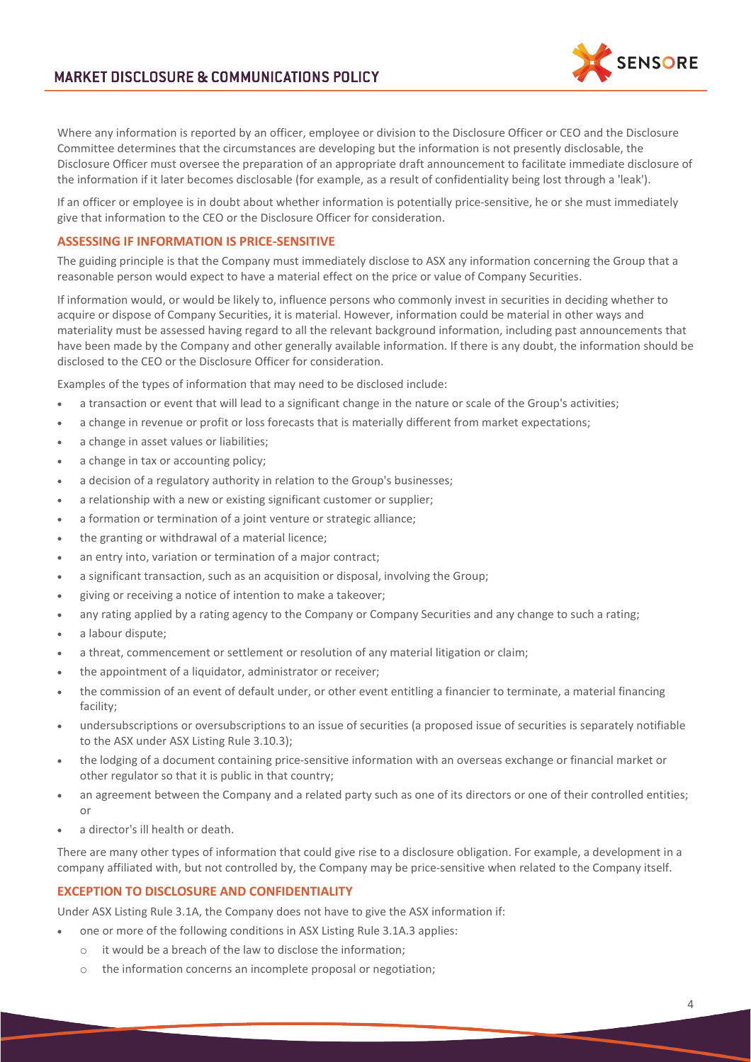**SENSORE** 

Where any information is reported by an officer, employee or division to the Disclosure Officer or CEO and the Disclosure Committee determines that the circumstances are developing but the information is not presently disclosable, the Disclosure Officer must oversee the preparation of an appropriate draft announcement to facilitate immediate disclosure of the information if it later becomes disclosable (for example, as a result of confidentiality being lost through a 'leak').

If an officer or employee is in doubt about whether information is potentially price-sensitive, he or she must immediately give that information to the CEO or the Disclosure Officer for consideration.

# **ASSESSING IF INFORMATION IS PRICE-SENSITIVE**

The guiding principle is that the Company must immediately disclose to ASX any information concerning the Group that a reasonable person would expect to have a material effect on the price or value of Company Securities.

If information would, or would be likely to, influence persons who commonly invest in securities in deciding whether to acquire or dispose of Company Securities, it is material. However, information could be material in other ways and materiality must be assessed having regard to all the relevant background information, including past announcements that have been made by the Company and other generally available information. If there is any doubt, the information should be disclosed to the CEO or the Disclosure Officer for consideration.

Examples of the types of information that may need to be disclosed include:

- a transaction or event that will lead to a significant change in the nature or scale of the Group's activities;
- a change in revenue or profit or loss forecasts that is materially different from market expectations;
- a change in asset values or liabilities;
- a change in tax or accounting policy;
- a decision of a regulatory authority in relation to the Group's businesses;
- a relationship with a new or existing significant customer or supplier;
- a formation or termination of a joint venture or strategic alliance;
- the granting or withdrawal of a material licence;
- an entry into, variation or termination of a major contract;
- a significant transaction, such as an acquisition or disposal, involving the Group;
- giving or receiving a notice of intention to make a takeover;
- any rating applied by a rating agency to the Company or Company Securities and any change to such a rating;
- a labour dispute;
- a threat, commencement or settlement or resolution of any material litigation or claim;
- the appointment of a liquidator, administrator or receiver;
- the commission of an event of default under, or other event entitling a financier to terminate, a material financing facility;
- undersubscriptions or oversubscriptions to an issue of securities (a proposed issue of securities is separately notifiable to the ASX under ASX Listing Rule 3.10.3);
- the lodging of a document containing price-sensitive information with an overseas exchange or financial market or other regulator so that it is public in that country;
- an agreement between the Company and a related party such as one of its directors or one of their controlled entities; or
- a director's ill health or death.

There are many other types of information that could give rise to a disclosure obligation. For example, a development in a company affiliated with, but not controlled by, the Company may be price-sensitive when related to the Company itself.

# **EXCEPTION TO DISCLOSURE AND CONFIDENTIALITY**

Under ASX Listing Rule 3.1A, the Company does not have to give the ASX information if:

- one or more of the following conditions in ASX Listing Rule 3.1A.3 applies:
	- o it would be a breach of the law to disclose the information;
	- o the information concerns an incomplete proposal or negotiation;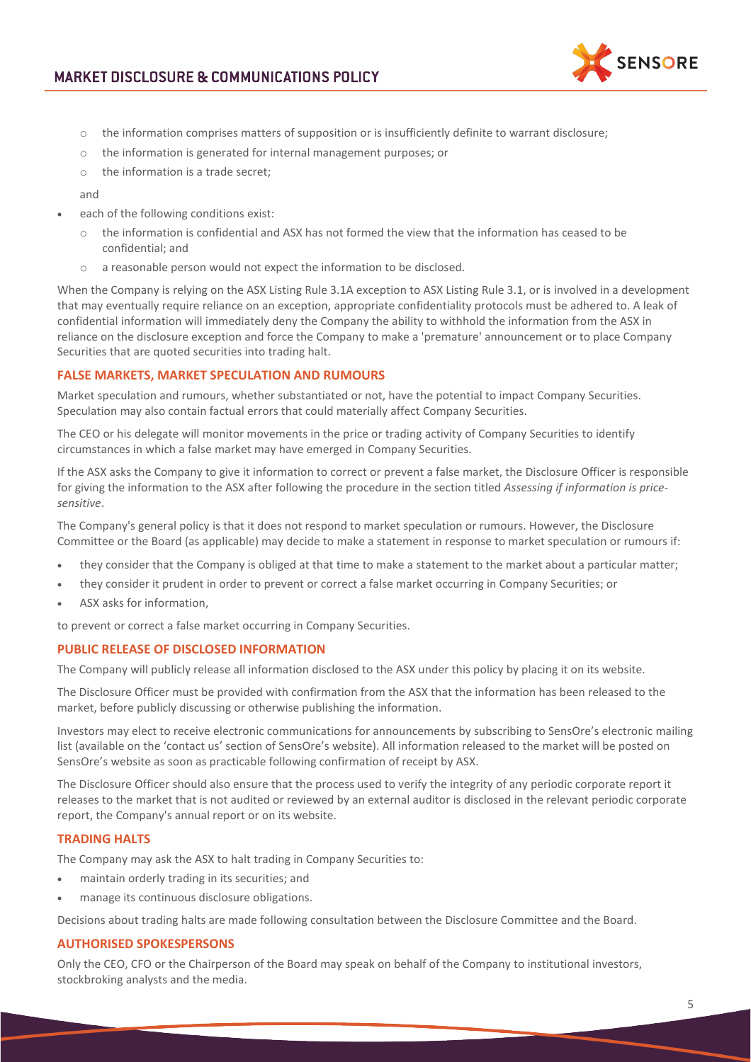

- $\circ$  the information comprises matters of supposition or is insufficiently definite to warrant disclosure;
- o the information is generated for internal management purposes; or
- o the information is a trade secret;

and

- each of the following conditions exist:
	- $\circ$  the information is confidential and ASX has not formed the view that the information has ceased to be confidential; and
	- o a reasonable person would not expect the information to be disclosed.

When the Company is relying on the ASX Listing Rule 3.1A exception to ASX Listing Rule 3.1, or is involved in a development that may eventually require reliance on an exception, appropriate confidentiality protocols must be adhered to. A leak of confidential information will immediately deny the Company the ability to withhold the information from the ASX in reliance on the disclosure exception and force the Company to make a 'premature' announcement or to place Company Securities that are quoted securities into trading halt.

# **FALSE MARKETS, MARKET SPECULATION AND RUMOURS**

Market speculation and rumours, whether substantiated or not, have the potential to impact Company Securities. Speculation may also contain factual errors that could materially affect Company Securities.

The CEO or his delegate will monitor movements in the price or trading activity of Company Securities to identify circumstances in which a false market may have emerged in Company Securities.

If the ASX asks the Company to give it information to correct or prevent a false market, the Disclosure Officer is responsible for giving the information to the ASX after following the procedure in the section titled *Assessing if information is pricesensitive*.

The Company's general policy is that it does not respond to market speculation or rumours. However, the Disclosure Committee or the Board (as applicable) may decide to make a statement in response to market speculation or rumours if:

- they consider that the Company is obliged at that time to make a statement to the market about a particular matter;
- they consider it prudent in order to prevent or correct a false market occurring in Company Securities; or
- ASX asks for information.

to prevent or correct a false market occurring in Company Securities.

## **PUBLIC RELEASE OF DISCLOSED INFORMATION**

The Company will publicly release all information disclosed to the ASX under this policy by placing it on its website.

The Disclosure Officer must be provided with confirmation from the ASX that the information has been released to the market, before publicly discussing or otherwise publishing the information.

Investors may elect to receive electronic communications for announcements by subscribing to SensOre's electronic mailing list (available on the 'contact us' section of SensOre's website). All information released to the market will be posted on SensOre's website as soon as practicable following confirmation of receipt by ASX.

The Disclosure Officer should also ensure that the process used to verify the integrity of any periodic corporate report it releases to the market that is not audited or reviewed by an external auditor is disclosed in the relevant periodic corporate report, the Company's annual report or on its website.

# **TRADING HALTS**

The Company may ask the ASX to halt trading in Company Securities to:

- maintain orderly trading in its securities; and
- manage its continuous disclosure obligations.

Decisions about trading halts are made following consultation between the Disclosure Committee and the Board.

## **AUTHORISED SPOKESPERSONS**

Only the CEO, CFO or the Chairperson of the Board may speak on behalf of the Company to institutional investors, stockbroking analysts and the media.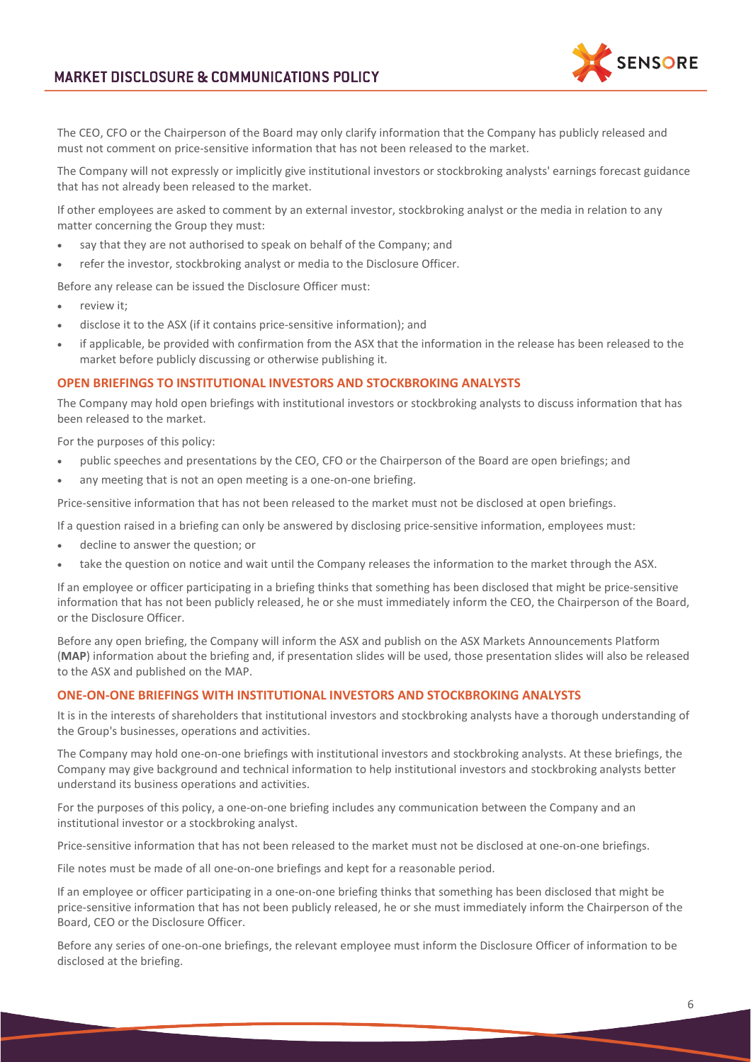

The CEO, CFO or the Chairperson of the Board may only clarify information that the Company has publicly released and must not comment on price-sensitive information that has not been released to the market.

The Company will not expressly or implicitly give institutional investors or stockbroking analysts' earnings forecast guidance that has not already been released to the market.

If other employees are asked to comment by an external investor, stockbroking analyst or the media in relation to any matter concerning the Group they must:

- say that they are not authorised to speak on behalf of the Company; and
- refer the investor, stockbroking analyst or media to the Disclosure Officer.

Before any release can be issued the Disclosure Officer must:

- review it:
- disclose it to the ASX (if it contains price-sensitive information); and
- if applicable, be provided with confirmation from the ASX that the information in the release has been released to the market before publicly discussing or otherwise publishing it.

#### **OPEN BRIEFINGS TO INSTITUTIONAL INVESTORS AND STOCKBROKING ANALYSTS**

The Company may hold open briefings with institutional investors or stockbroking analysts to discuss information that has been released to the market.

For the purposes of this policy:

- public speeches and presentations by the CEO, CFO or the Chairperson of the Board are open briefings; and
- any meeting that is not an open meeting is a one-on-one briefing.

Price-sensitive information that has not been released to the market must not be disclosed at open briefings.

If a question raised in a briefing can only be answered by disclosing price-sensitive information, employees must:

- decline to answer the question; or
- take the question on notice and wait until the Company releases the information to the market through the ASX.

If an employee or officer participating in a briefing thinks that something has been disclosed that might be price-sensitive information that has not been publicly released, he or she must immediately inform the CEO, the Chairperson of the Board, or the Disclosure Officer.

Before any open briefing, the Company will inform the ASX and publish on the ASX Markets Announcements Platform (**MAP**) information about the briefing and, if presentation slides will be used, those presentation slides will also be released to the ASX and published on the MAP.

### **ONE-ON-ONE BRIEFINGS WITH INSTITUTIONAL INVESTORS AND STOCKBROKING ANALYSTS**

It is in the interests of shareholders that institutional investors and stockbroking analysts have a thorough understanding of the Group's businesses, operations and activities.

The Company may hold one-on-one briefings with institutional investors and stockbroking analysts. At these briefings, the Company may give background and technical information to help institutional investors and stockbroking analysts better understand its business operations and activities.

For the purposes of this policy, a one-on-one briefing includes any communication between the Company and an institutional investor or a stockbroking analyst.

Price-sensitive information that has not been released to the market must not be disclosed at one-on-one briefings.

File notes must be made of all one-on-one briefings and kept for a reasonable period.

If an employee or officer participating in a one-on-one briefing thinks that something has been disclosed that might be price-sensitive information that has not been publicly released, he or she must immediately inform the Chairperson of the Board, CEO or the Disclosure Officer.

Before any series of one-on-one briefings, the relevant employee must inform the Disclosure Officer of information to be disclosed at the briefing.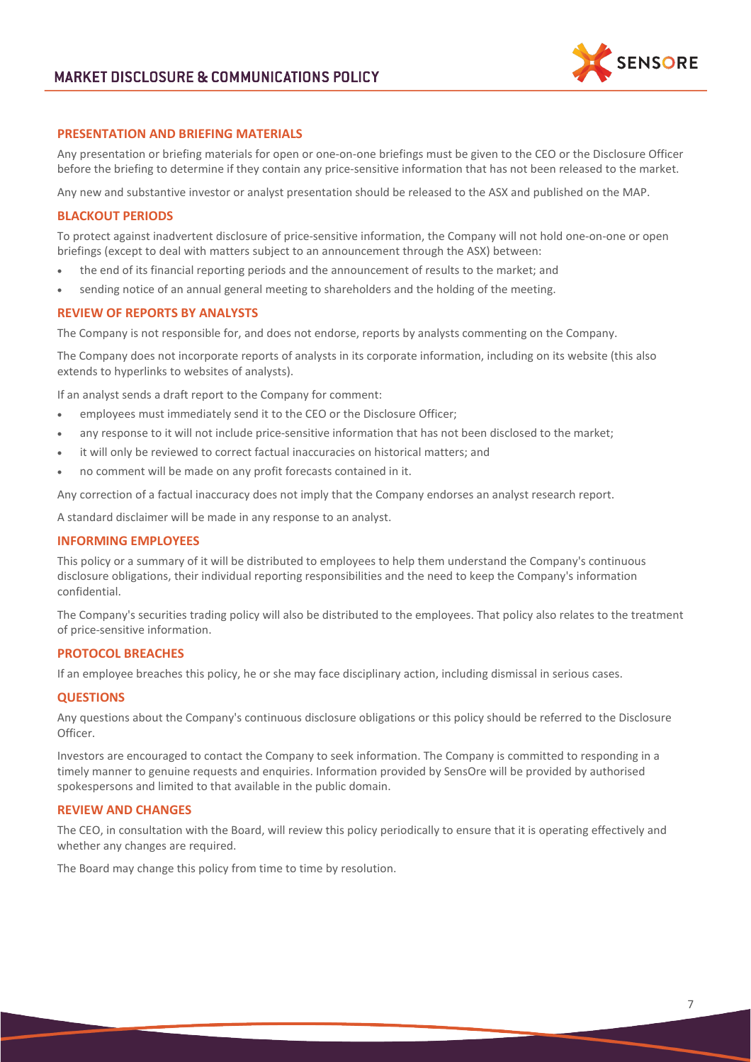

# **PRESENTATION AND BRIEFING MATERIALS**

Any presentation or briefing materials for open or one-on-one briefings must be given to the CEO or the Disclosure Officer before the briefing to determine if they contain any price-sensitive information that has not been released to the market.

Any new and substantive investor or analyst presentation should be released to the ASX and published on the MAP.

#### **BLACKOUT PERIODS**

To protect against inadvertent disclosure of price-sensitive information, the Company will not hold one-on-one or open briefings (except to deal with matters subject to an announcement through the ASX) between:

- the end of its financial reporting periods and the announcement of results to the market; and
- sending notice of an annual general meeting to shareholders and the holding of the meeting.

## **REVIEW OF REPORTS BY ANALYSTS**

The Company is not responsible for, and does not endorse, reports by analysts commenting on the Company.

The Company does not incorporate reports of analysts in its corporate information, including on its website (this also extends to hyperlinks to websites of analysts).

If an analyst sends a draft report to the Company for comment:

- employees must immediately send it to the CEO or the Disclosure Officer;
- any response to it will not include price-sensitive information that has not been disclosed to the market;
- it will only be reviewed to correct factual inaccuracies on historical matters; and
- no comment will be made on any profit forecasts contained in it.

Any correction of a factual inaccuracy does not imply that the Company endorses an analyst research report.

A standard disclaimer will be made in any response to an analyst.

#### **INFORMING EMPLOYEES**

This policy or a summary of it will be distributed to employees to help them understand the Company's continuous disclosure obligations, their individual reporting responsibilities and the need to keep the Company's information confidential.

The Company's securities trading policy will also be distributed to the employees. That policy also relates to the treatment of price-sensitive information.

## **PROTOCOL BREACHES**

If an employee breaches this policy, he or she may face disciplinary action, including dismissal in serious cases.

#### **QUESTIONS**

Any questions about the Company's continuous disclosure obligations or this policy should be referred to the Disclosure Officer.

Investors are encouraged to contact the Company to seek information. The Company is committed to responding in a timely manner to genuine requests and enquiries. Information provided by SensOre will be provided by authorised spokespersons and limited to that available in the public domain.

## **REVIEW AND CHANGES**

The CEO, in consultation with the Board, will review this policy periodically to ensure that it is operating effectively and whether any changes are required.

The Board may change this policy from time to time by resolution.